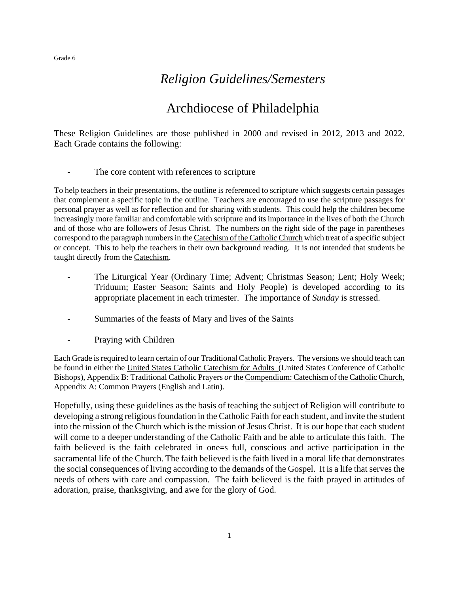# *Religion Guidelines/Semesters*

# Archdiocese of Philadelphia

These Religion Guidelines are those published in 2000 and revised in 2012, 2013 and 2022. Each Grade contains the following:

- The core content with references to scripture

To help teachers in their presentations, the outline is referenced to scripture which suggests certain passages that complement a specific topic in the outline. Teachers are encouraged to use the scripture passages for personal prayer as well as for reflection and for sharing with students. This could help the children become increasingly more familiar and comfortable with scripture and its importance in the lives of both the Church and of those who are followers of Jesus Christ. The numbers on the right side of the page in parentheses correspond to the paragraph numbers in the Catechism of the Catholic Church which treat of a specific subject or concept. This to help the teachers in their own background reading. It is not intended that students be taught directly from the Catechism.

- The Liturgical Year (Ordinary Time; Advent; Christmas Season; Lent; Holy Week; Triduum; Easter Season; Saints and Holy People) is developed according to its appropriate placement in each trimester. The importance of *Sunday* is stressed.
- Summaries of the feasts of Mary and lives of the Saints
- Praying with Children

Each Grade is required to learn certain of our Traditional Catholic Prayers. The versions we should teach can be found in either the United States Catholic Catechism *for* Adults (United States Conference of Catholic Bishops), Appendix B: Traditional Catholic Prayers *or* the Compendium: Catechism of the Catholic Church, Appendix A: Common Prayers (English and Latin).

Hopefully, using these guidelines as the basis of teaching the subject of Religion will contribute to developing a strong religious foundation in the Catholic Faith for each student, and invite the student into the mission of the Church which is the mission of Jesus Christ. It is our hope that each student will come to a deeper understanding of the Catholic Faith and be able to articulate this faith. The faith believed is the faith celebrated in one=s full, conscious and active participation in the sacramental life of the Church. The faith believed is the faith lived in a moral life that demonstrates the social consequences of living according to the demands of the Gospel. It is a life that serves the needs of others with care and compassion. The faith believed is the faith prayed in attitudes of adoration, praise, thanksgiving, and awe for the glory of God.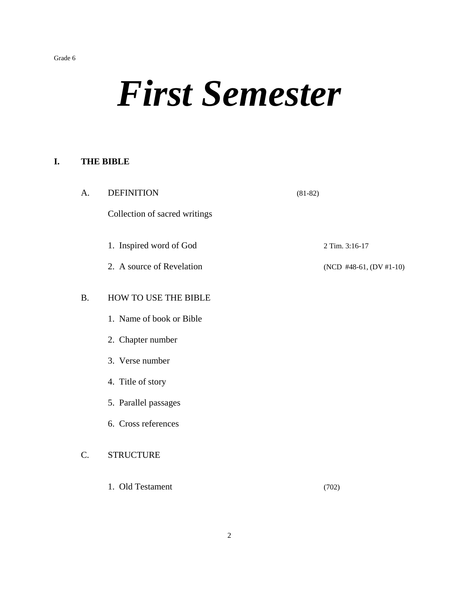# *First Semester*

#### **I. THE BIBLE**

| A.        | <b>DEFINITION</b>             | $(81-82)$ |                         |
|-----------|-------------------------------|-----------|-------------------------|
|           | Collection of sacred writings |           |                         |
|           | 1. Inspired word of God       |           | 2 Tim. 3:16-17          |
|           | 2. A source of Revelation     |           | (NCD #48-61, (DV #1-10) |
| <b>B.</b> | HOW TO USE THE BIBLE          |           |                         |
|           | 1. Name of book or Bible      |           |                         |
|           | 2. Chapter number             |           |                         |
|           | 3. Verse number               |           |                         |
|           | 4. Title of story             |           |                         |
|           | 5. Parallel passages          |           |                         |
|           | 6. Cross references           |           |                         |
| C.        | <b>STRUCTURE</b>              |           |                         |
|           | 1. Old Testament              |           | (702)                   |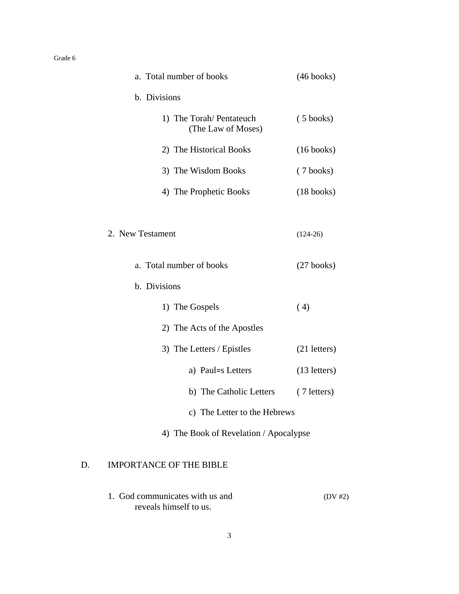| a. Total number of books                       | $(46 \text{ books})$ |
|------------------------------------------------|----------------------|
| b. Divisions                                   |                      |
| 1) The Torah/ Pentateuch<br>(The Law of Moses) | $(5 \text{ books})$  |
| 2) The Historical Books                        | $(16 \text{ books})$ |
| 3) The Wisdom Books                            | $(7 \text{ books})$  |
| 4) The Prophetic Books                         | $(18 \text{ books})$ |
|                                                |                      |
| 2. New Testament                               | $(124-26)$           |
| a. Total number of books                       | $(27 \text{ books})$ |
| b. Divisions                                   |                      |
| 1) The Gospels                                 | (4)                  |
| 2) The Acts of the Apostles                    |                      |
| 3) The Letters / Epistles                      | $(21$ letters)       |
| a) Paul=s Letters                              | $(13$ letters)       |
| b) The Catholic Letters                        | (7 letters)          |
| c) The Letter to the Hebrews                   |                      |
| 4) The Book of Revelation / Apocalypse         |                      |
| <b>IMPORTANCE OF THE BIBLE</b><br>D.           |                      |

1. God communicates with us and (DV #2) reveals himself to us.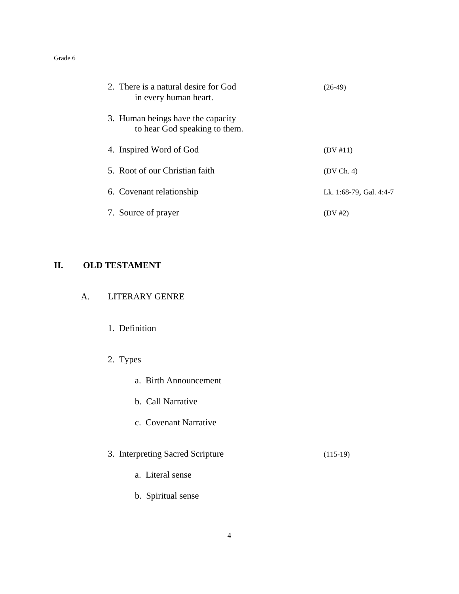| 2. There is a natural desire for God<br>in every human heart.      | (26-49)                 |
|--------------------------------------------------------------------|-------------------------|
| 3. Human beings have the capacity<br>to hear God speaking to them. |                         |
| 4. Inspired Word of God                                            | (DV #11)                |
| 5. Root of our Christian faith                                     | (DV Ch. 4)              |
| 6. Covenant relationship                                           | Lk. 1:68-79, Gal. 4:4-7 |
| 7. Source of prayer                                                | (DV #2)                 |

# **II. OLD TESTAMENT**

| А. | <b>LITERARY GENRE</b> |  |
|----|-----------------------|--|
|    |                       |  |

- 1. Definition
- 2. Types
	- a. Birth Announcement
	- b. Call Narrative
	- c. Covenant Narrative
- 3. Interpreting Sacred Scripture (115-19)
	- a. Literal sense
	- b. Spiritual sense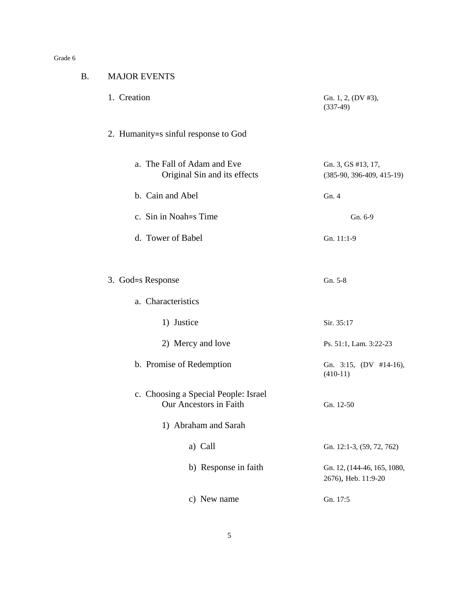$B$ .

| <b>MAJOR EVENTS</b>                                            |                                                    |
|----------------------------------------------------------------|----------------------------------------------------|
| 1. Creation                                                    | Gn. 1, 2, (DV #3),<br>$(337-49)$                   |
| 2. Humanity=s sinful response to God                           |                                                    |
| a. The Fall of Adam and Eve<br>Original Sin and its effects    | Gn. 3, GS #13, 17,<br>$(385-90, 396-409, 415-19)$  |
| b. Cain and Abel                                               | Gn.4                                               |
| c. Sin in Noah = S Time                                        | Gn. 6-9                                            |
| d. Tower of Babel                                              | Gn. 11:1-9                                         |
| 3. God=s Response                                              | Gn. 5-8                                            |
| a. Characteristics                                             |                                                    |
| 1) Justice                                                     | Sir. 35:17                                         |
| 2) Mercy and love                                              | Ps. 51:1, Lam. 3:22-23                             |
| b. Promise of Redemption                                       | Gn. 3:15, $(DV$ #14-16),<br>$(410-11)$             |
| c. Choosing a Special People: Israel<br>Our Ancestors in Faith | Gn. 12-50                                          |
| 1) Abraham and Sarah                                           |                                                    |
| a) Call                                                        | Gn. 12:1-3, (59, 72, 762)                          |
| b) Response in faith                                           | Gn. 12, (144-46, 165, 1080,<br>2676), Heb. 11:9-20 |
| c) New name                                                    | Gn. 17:5                                           |
|                                                                |                                                    |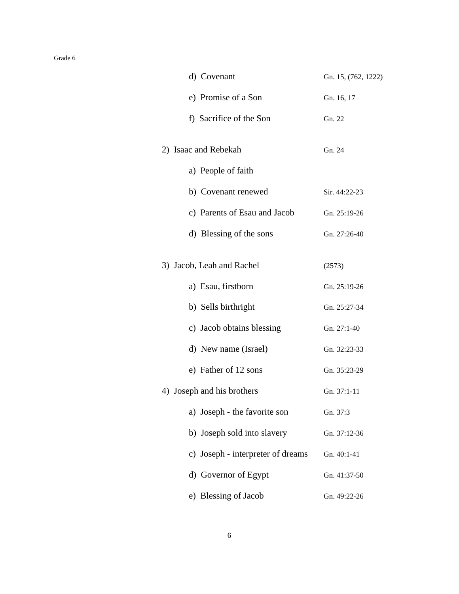| d) Covenant                       | Gn. 15, (762, 1222) |
|-----------------------------------|---------------------|
| e) Promise of a Son               | Gn. 16, 17          |
| f) Sacrifice of the Son           | Gn. 22              |
| 2) Isaac and Rebekah              | Gn. 24              |
| a) People of faith                |                     |
| b) Covenant renewed               | Sir. 44:22-23       |
| c) Parents of Esau and Jacob      | Gn. 25:19-26        |
| d) Blessing of the sons           | Gn. 27:26-40        |
| 3) Jacob, Leah and Rachel         | (2573)              |
| a) Esau, firstborn                | Gn. 25:19-26        |
| b) Sells birthright               | Gn. 25:27-34        |
| c) Jacob obtains blessing         | Gn. 27:1-40         |
| d) New name (Israel)              | Gn. 32:23-33        |
| e) Father of 12 sons              | Gn. 35:23-29        |
| 4) Joseph and his brothers        | Gn. 37:1-11         |
| a) Joseph - the favorite son      | Gn. 37:3            |
| b) Joseph sold into slavery       | Gn. 37:12-36        |
| c) Joseph - interpreter of dreams | Gn. 40:1-41         |
| d) Governor of Egypt              | Gn. 41:37-50        |
| e) Blessing of Jacob              | Gn. 49:22-26        |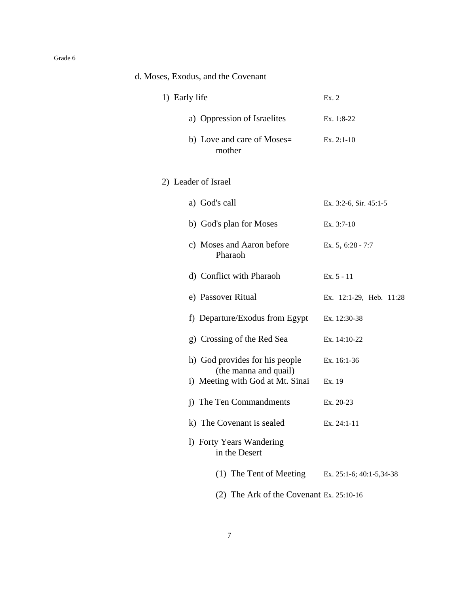| d. Moses, Exodus, and the Covenant                      |                          |
|---------------------------------------------------------|--------------------------|
| 1) Early life                                           | Ex. 2                    |
| a) Oppression of Israelites                             | Ex. 1:8-22               |
| b) Love and care of Moses=<br>mother                    | Ex. 2:1-10               |
| 2) Leader of Israel                                     |                          |
| a) God's call                                           | Ex. 3:2-6, Sir. 45:1-5   |
| b) God's plan for Moses                                 | Ex. 3:7-10               |
| c) Moses and Aaron before<br>Pharaoh                    | Ex. 5, 6:28 - 7:7        |
| d) Conflict with Pharaoh                                | $Ex. 5 - 11$             |
| e) Passover Ritual                                      | Ex. 12:1-29, Heb. 11:28  |
| f) Departure/Exodus from Egypt                          | Ex. 12:30-38             |
| g) Crossing of the Red Sea                              | Ex. 14:10-22             |
| h) God provides for his people<br>(the manna and quail) | Ex. 16:1-36              |
| i) Meeting with God at Mt. Sinai                        | Ex. 19                   |
| j) The Ten Commandments                                 | Ex. 20-23                |
| k) The Covenant is sealed                               | Ex. $24:1-11$            |
| 1) Forty Years Wandering<br>in the Desert               |                          |
| (1) The Tent of Meeting                                 | Ex. 25:1-6; 40:1-5,34-38 |
| $(2)$ The Ark of the Covenant Ex. 25:10-16              |                          |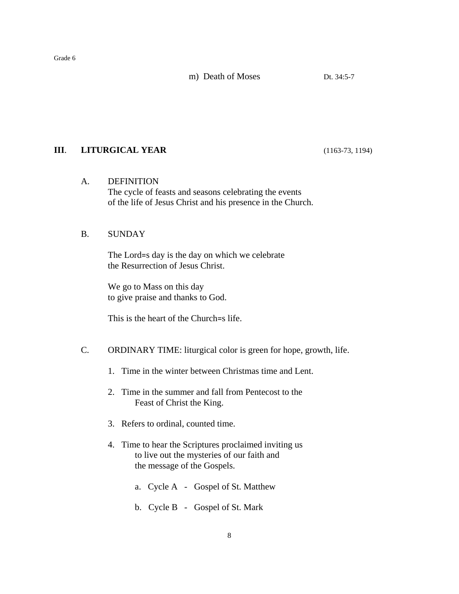m) Death of Moses Dt. 34:5-7

### **III**. **LITURGICAL YEAR** (1163-73, 1194)

#### A. DEFINITION

The cycle of feasts and seasons celebrating the events of the life of Jesus Christ and his presence in the Church.

#### B. SUNDAY

The Lord=s day is the day on which we celebrate the Resurrection of Jesus Christ.

We go to Mass on this day to give praise and thanks to God.

This is the heart of the Church=s life.

#### C. ORDINARY TIME: liturgical color is green for hope, growth, life.

- 1. Time in the winter between Christmas time and Lent.
- 2. Time in the summer and fall from Pentecost to the Feast of Christ the King.
- 3. Refers to ordinal, counted time.
- 4. Time to hear the Scriptures proclaimed inviting us to live out the mysteries of our faith and the message of the Gospels.
	- a. Cycle A Gospel of St. Matthew
	- b. Cycle B Gospel of St. Mark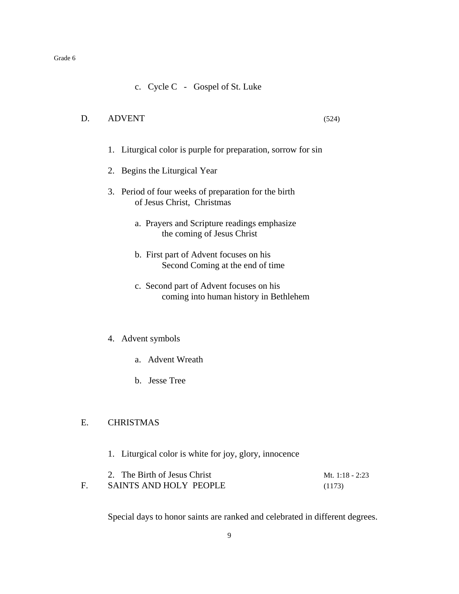c. Cycle C - Gospel of St. Luke

#### D. ADVENT (524)

- 
- 1. Liturgical color is purple for preparation, sorrow for sin
- 2. Begins the Liturgical Year
- 3. Period of four weeks of preparation for the birth of Jesus Christ, Christmas
	- a. Prayers and Scripture readings emphasize the coming of Jesus Christ
	- b. First part of Advent focuses on his Second Coming at the end of time
	- c. Second part of Advent focuses on his coming into human history in Bethlehem

#### 4. Advent symbols

- a. Advent Wreath
- b. Jesse Tree

#### E. CHRISTMAS

1. Liturgical color is white for joy, glory, innocence

| 2. The Birth of Jesus Christ | Mt. 1:18 - 2:23 |
|------------------------------|-----------------|
| SAINTS AND HOLY PEOPLE       | (1173)          |

Special days to honor saints are ranked and celebrated in different degrees.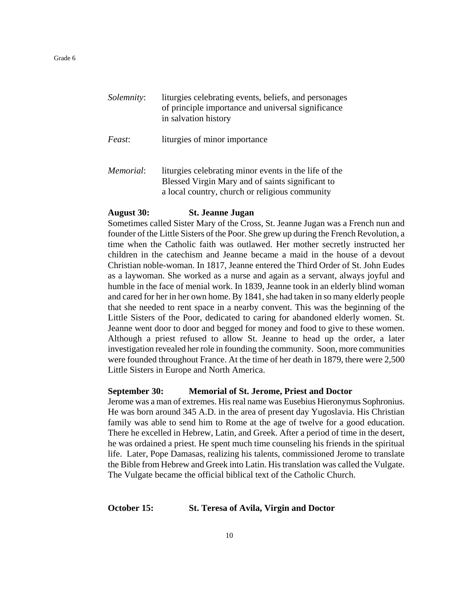| Solemnity: | liturgies celebrating events, beliefs, and personages<br>of principle importance and universal significance<br>in salvation history                         |
|------------|-------------------------------------------------------------------------------------------------------------------------------------------------------------|
| Feast:     | liturgies of minor importance                                                                                                                               |
| Memorial:  | liturgies celebrating minor events in the life of the<br>Blessed Virgin Mary and of saints significant to<br>a local country, church or religious community |

#### **August 30: St. Jeanne Jugan**

Sometimes called Sister Mary of the Cross, St. Jeanne Jugan was a French nun and founder of the Little Sisters of the Poor. She grew up during the French Revolution, a time when the Catholic faith was outlawed. Her mother secretly instructed her children in the catechism and Jeanne became a maid in the house of a devout Christian noble-woman. In 1817, Jeanne entered the Third Order of St. John Eudes as a laywoman. She worked as a nurse and again as a servant, always joyful and humble in the face of menial work. In 1839, Jeanne took in an elderly blind woman and cared for her in her own home. By 1841, she had taken in so many elderly people that she needed to rent space in a nearby convent. This was the beginning of the Little Sisters of the Poor, dedicated to caring for abandoned elderly women. St. Jeanne went door to door and begged for money and food to give to these women. Although a priest refused to allow St. Jeanne to head up the order, a later investigation revealed her role in founding the community. Soon, more communities were founded throughout France. At the time of her death in 1879, there were 2,500 Little Sisters in Europe and North America.

#### **September 30: Memorial of St. Jerome, Priest and Doctor**

Jerome was a man of extremes. His real name was Eusebius Hieronymus Sophronius. He was born around 345 A.D. in the area of present day Yugoslavia. His Christian family was able to send him to Rome at the age of twelve for a good education. There he excelled in Hebrew, Latin, and Greek. After a period of time in the desert, he was ordained a priest. He spent much time counseling his friends in the spiritual life. Later, Pope Damasas, realizing his talents, commissioned Jerome to translate the Bible from Hebrew and Greek into Latin. His translation was called the Vulgate. The Vulgate became the official biblical text of the Catholic Church.

#### **October 15: St. Teresa of Avila, Virgin and Doctor**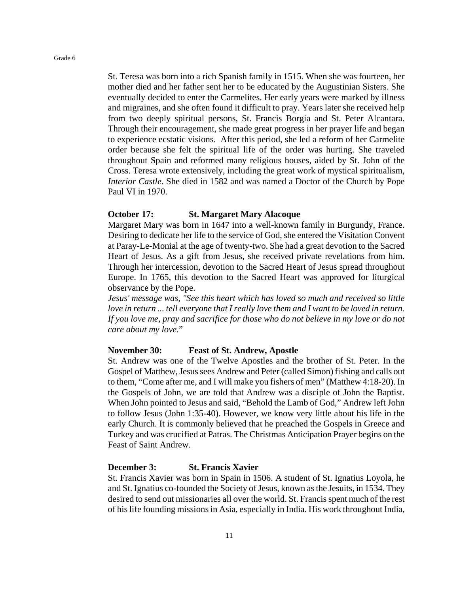St. Teresa was born into a rich Spanish family in 1515. When she was fourteen, her mother died and her father sent her to be educated by the Augustinian Sisters. She eventually decided to enter the Carmelites. Her early years were marked by illness and migraines, and she often found it difficult to pray. Years later she received help from two deeply spiritual persons, St. Francis Borgia and St. Peter Alcantara. Through their encouragement, she made great progress in her prayer life and began to experience ecstatic visions. After this period, she led a reform of her Carmelite order because she felt the spiritual life of the order was hurting. She traveled throughout Spain and reformed many religious houses, aided by St. John of the Cross. Teresa wrote extensively, including the great work of mystical spiritualism, *Interior Castle*. She died in 1582 and was named a Doctor of the Church by Pope Paul VI in 1970.

#### **October 17: St. Margaret Mary Alacoque**

Margaret Mary was born in 1647 into a well-known family in Burgundy, France. Desiring to dedicate her life to the service of God, she entered the Visitation Convent at Paray-Le-Monial at the age of twenty-two. She had a great devotion to the Sacred Heart of Jesus. As a gift from Jesus, she received private revelations from him. Through her intercession, devotion to the Sacred Heart of Jesus spread throughout Europe. In 1765, this devotion to the Sacred Heart was approved for liturgical observance by the Pope.

*Jesus' message was, "See this heart which has loved so much and received so little love in return ... tell everyone that I really love them and I want to be loved in return. If you love me, pray and sacrifice for those who do not believe in my love or do not care about my love.*"

#### **November 30: Feast of St. Andrew, Apostle**

St. Andrew was one of the Twelve Apostles and the brother of St. Peter. In the Gospel of Matthew, Jesus sees Andrew and Peter (called Simon) fishing and calls out to them, "Come after me, and I will make you fishers of men" (Matthew 4:18-20). In the Gospels of John, we are told that Andrew was a disciple of John the Baptist. When John pointed to Jesus and said, "Behold the Lamb of God," Andrew left John to follow Jesus (John 1:35-40). However, we know very little about his life in the early Church. It is commonly believed that he preached the Gospels in Greece and Turkey and was crucified at Patras. The Christmas Anticipation Prayer begins on the Feast of Saint Andrew.

#### **December 3: St. Francis Xavier**

St. Francis Xavier was born in Spain in 1506. A student of St. Ignatius Loyola, he and St. Ignatius co-founded the Society of Jesus, known as the Jesuits, in 1534. They desired to send out missionaries all over the world. St. Francis spent much of the rest of his life founding missions in Asia, especially in India. His work throughout India,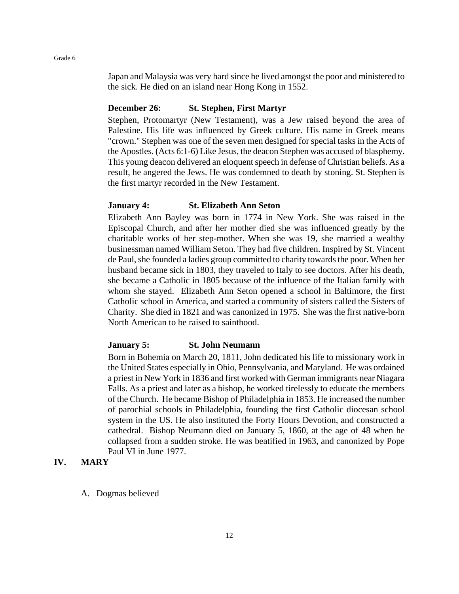Japan and Malaysia was very hard since he lived amongst the poor and ministered to the sick. He died on an island near Hong Kong in 1552.

#### **December 26: St. Stephen, First Martyr**

Stephen, Protomartyr (New Testament), was a Jew raised beyond the area of Palestine. His life was influenced by Greek culture. His name in Greek means "crown." Stephen was one of the seven men designed for special tasks in the Acts of the Apostles. (Acts 6:1-6) Like Jesus, the deacon Stephen was accused of blasphemy. This young deacon delivered an eloquent speech in defense of Christian beliefs. As a result, he angered the Jews. He was condemned to death by stoning. St. Stephen is the first martyr recorded in the New Testament.

#### **January 4: St. Elizabeth Ann Seton**

Elizabeth Ann Bayley was born in 1774 in New York. She was raised in the Episcopal Church, and after her mother died she was influenced greatly by the charitable works of her step-mother. When she was 19, she married a wealthy businessman named William Seton. They had five children. Inspired by St. Vincent de Paul, she founded a ladies group committed to charity towards the poor. When her husband became sick in 1803, they traveled to Italy to see doctors. After his death, she became a Catholic in 1805 because of the influence of the Italian family with whom she stayed. Elizabeth Ann Seton opened a school in Baltimore, the first Catholic school in America, and started a community of sisters called the Sisters of Charity. She died in 1821 and was canonized in 1975. She was the first native-born North American to be raised to sainthood.

#### **January 5: St. John Neumann**

Born in Bohemia on March 20, 1811, John dedicated his life to missionary work in the United States especially in Ohio, Pennsylvania, and Maryland. He was ordained a priest in New York in 1836 and first worked with German immigrants near Niagara Falls. As a priest and later as a bishop, he worked tirelessly to educate the members of the Church. He became Bishop of Philadelphia in 1853. He increased the number of parochial schools in Philadelphia, founding the first Catholic diocesan school system in the US. He also instituted the Forty Hours Devotion, and constructed a cathedral. Bishop Neumann died on January 5, 1860, at the age of 48 when he collapsed from a sudden stroke. He was beatified in 1963, and canonized by Pope Paul VI in June 1977.

#### **IV. MARY**

A. Dogmas believed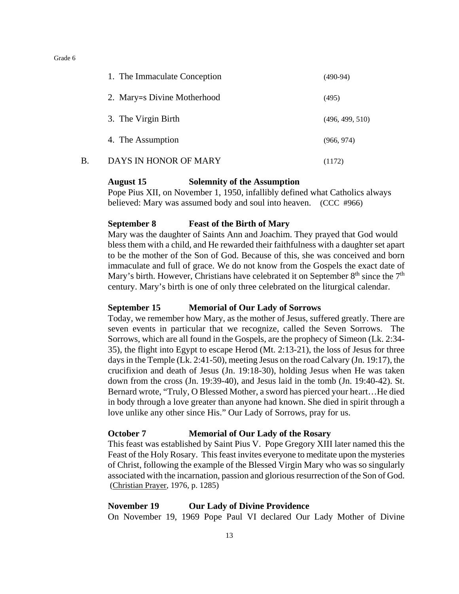|    | 1. The Immaculate Conception | $(490-94)$      |
|----|------------------------------|-----------------|
|    | 2. Mary=s Divine Motherhood  | (495)           |
|    | 3. The Virgin Birth          | (496, 499, 510) |
|    | 4. The Assumption            | (966, 974)      |
| Β. | DAYS IN HONOR OF MARY        | (1172)          |

#### **August 15 Solemnity of the Assumption**

Pope Pius XII, on November 1, 1950, infallibly defined what Catholics always believed: Mary was assumed body and soul into heaven. (CCC #966)

#### **September 8 Feast of the Birth of Mary**

Mary was the daughter of Saints Ann and Joachim. They prayed that God would bless them with a child, and He rewarded their faithfulness with a daughter set apart to be the mother of the Son of God. Because of this, she was conceived and born immaculate and full of grace. We do not know from the Gospels the exact date of Mary's birth. However, Christians have celebrated it on September  $8<sup>th</sup>$  since the  $7<sup>th</sup>$ century. Mary's birth is one of only three celebrated on the liturgical calendar.

#### **September 15 Memorial of Our Lady of Sorrows**

Today, we remember how Mary, as the mother of Jesus, suffered greatly. There are seven events in particular that we recognize, called the Seven Sorrows. The Sorrows, which are all found in the Gospels, are the prophecy of Simeon (Lk. 2:34- 35), the flight into Egypt to escape Herod (Mt. 2:13-21), the loss of Jesus for three days in the Temple (Lk. 2:41-50), meeting Jesus on the road Calvary (Jn. 19:17), the crucifixion and death of Jesus (Jn. 19:18-30), holding Jesus when He was taken down from the cross (Jn. 19:39-40), and Jesus laid in the tomb (Jn. 19:40-42). St. Bernard wrote, "Truly, O Blessed Mother, a sword has pierced your heart…He died in body through a love greater than anyone had known. She died in spirit through a love unlike any other since His." Our Lady of Sorrows, pray for us.

#### **October 7 Memorial of Our Lady of the Rosary**

This feast was established by Saint Pius V. Pope Gregory XIII later named this the Feast of the Holy Rosary. This feast invites everyone to meditate upon the mysteries of Christ, following the example of the Blessed Virgin Mary who was so singularly associated with the incarnation, passion and glorious resurrection of the Son of God. (Christian Prayer, 1976, p. 1285)

#### **November 19 Our Lady of Divine Providence**

On November 19, 1969 Pope Paul VI declared Our Lady Mother of Divine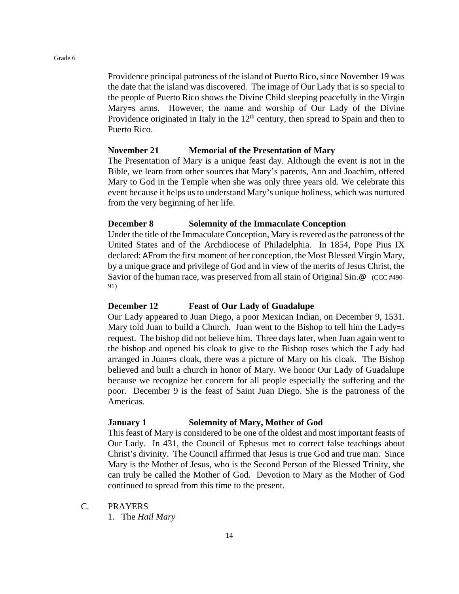Providence principal patroness of the island of Puerto Rico, since November 19 was the date that the island was discovered. The image of Our Lady that is so special to the people of Puerto Rico shows the Divine Child sleeping peacefully in the Virgin Mary=s arms. However, the name and worship of Our Lady of the Divine Providence originated in Italy in the  $12<sup>th</sup>$  century, then spread to Spain and then to Puerto Rico.

#### **November 21 Memorial of the Presentation of Mary**

The Presentation of Mary is a unique feast day. Although the event is not in the Bible, we learn from other sources that Mary's parents, Ann and Joachim, offered Mary to God in the Temple when she was only three years old. We celebrate this event because it helps us to understand Mary's unique holiness, which was nurtured from the very beginning of her life.

#### **December 8 Solemnity of the Immaculate Conception**

Under the title of the Immaculate Conception, Mary is revered as the patroness of the United States and of the Archdiocese of Philadelphia. In 1854, Pope Pius IX declared: AFrom the first moment of her conception, the Most Blessed Virgin Mary, by a unique grace and privilege of God and in view of the merits of Jesus Christ, the Savior of the human race, was preserved from all stain of Original Sin. @ (CCC #490-91)

#### **December 12 Feast of Our Lady of Guadalupe**

Our Lady appeared to Juan Diego, a poor Mexican Indian, on December 9, 1531. Mary told Juan to build a Church. Juan went to the Bishop to tell him the Lady=s request. The bishop did not believe him. Three days later, when Juan again went to the bishop and opened his cloak to give to the Bishop roses which the Lady had arranged in Juan=s cloak, there was a picture of Mary on his cloak. The Bishop believed and built a church in honor of Mary. We honor Our Lady of Guadalupe because we recognize her concern for all people especially the suffering and the poor. December 9 is the feast of Saint Juan Diego. She is the patroness of the Americas.

#### **January 1 Solemnity of Mary, Mother of God**

This feast of Mary is considered to be one of the oldest and most important feasts of Our Lady. In 431, the Council of Ephesus met to correct false teachings about Christ's divinity. The Council affirmed that Jesus is true God and true man. Since Mary is the Mother of Jesus, who is the Second Person of the Blessed Trinity, she can truly be called the Mother of God. Devotion to Mary as the Mother of God continued to spread from this time to the present.

C. PRAYERS

1. The *Hail Mary*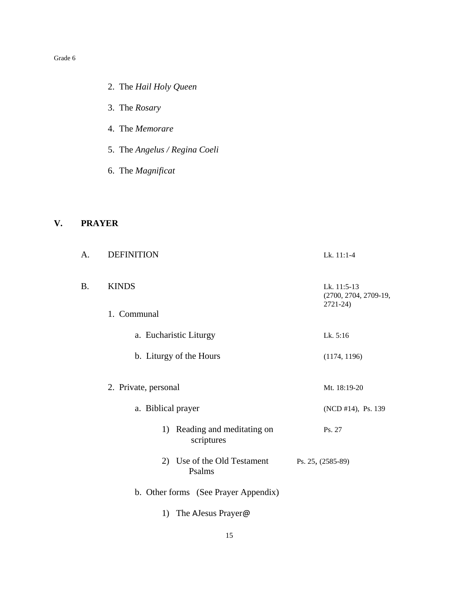- 2. The *Hail Holy Queen*
- 3. The *Rosary*
- 4. The *Memorare*
- 5. The *Angelus / Regina Coeli*
- 6. The *Magnificat*

# **V. PRAYER**

| A. | <b>DEFINITION</b>                          | Lk. 11:1-4                                          |
|----|--------------------------------------------|-----------------------------------------------------|
| B. | <b>KINDS</b>                               | Lk. 11:5-13<br>(2700, 2704, 2709-19,<br>$2721 - 24$ |
|    | 1. Communal                                |                                                     |
|    | a. Eucharistic Liturgy                     | Lk. 5:16                                            |
|    | b. Liturgy of the Hours                    | (1174, 1196)                                        |
|    | 2. Private, personal                       | Mt. 18:19-20                                        |
|    | a. Biblical prayer                         | (NCD #14), Ps. 139                                  |
|    | 1) Reading and meditating on<br>scriptures | Ps. 27                                              |
|    | 2) Use of the Old Testament<br>Psalms      | Ps. 25, (2585-89)                                   |
|    | b. Other forms (See Prayer Appendix)       |                                                     |
|    | The AJesus Prayer@<br>1)                   |                                                     |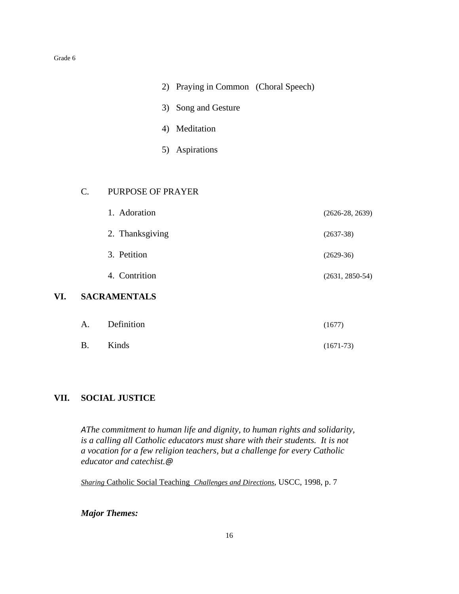- 2) Praying in Common (Choral Speech)
- 3) Song and Gesture
- 4) Meditation
- 5) Aspirations

#### C. PURPOSE OF PRAYER

|     |             | 1. Adoration        | $(2626-28, 2639)$ |
|-----|-------------|---------------------|-------------------|
|     |             | 2. Thanksgiving     | $(2637-38)$       |
|     |             | 3. Petition         | $(2629-36)$       |
|     |             | 4. Contrition       | $(2631, 2850-54)$ |
| VI. |             | <b>SACRAMENTALS</b> |                   |
|     | $A_{\cdot}$ | Definition          | (1677)            |
|     | <b>B.</b>   | Kinds               | $(1671-73)$       |

#### **VII. SOCIAL JUSTICE**

*AThe commitment to human life and dignity, to human rights and solidarity, is a calling all Catholic educators must share with their students. It is not a vocation for a few religion teachers, but a challenge for every Catholic educator and catechist.@*

*Sharing* Catholic Social Teaching *Challenges and Directions*, USCC, 1998, p. 7

*Major Themes:*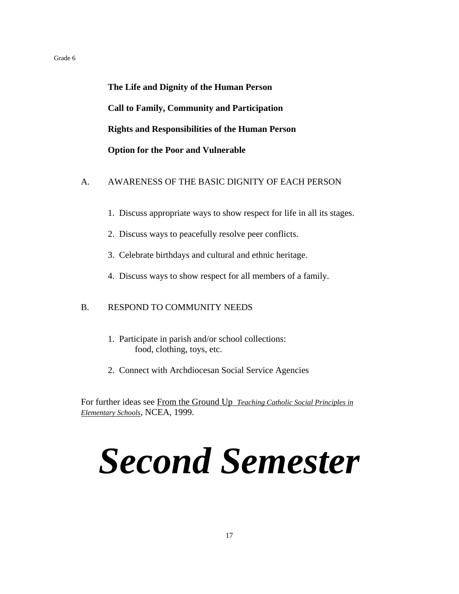**The Life and Dignity of the Human Person Call to Family, Community and Participation Rights and Responsibilities of the Human Person Option for the Poor and Vulnerable**

#### A. AWARENESS OF THE BASIC DIGNITY OF EACH PERSON

- 1. Discuss appropriate ways to show respect for life in all its stages.
- 2. Discuss ways to peacefully resolve peer conflicts.
- 3. Celebrate birthdays and cultural and ethnic heritage.
- 4. Discuss ways to show respect for all members of a family.

#### B. RESPOND TO COMMUNITY NEEDS

- 1. Participate in parish and/or school collections: food, clothing, toys, etc.
- 2. Connect with Archdiocesan Social Service Agencies

For further ideas see From the Ground Up *Teaching Catholic Social Principles in Elementary Schools*, NCEA, 1999.

# *Second Semester*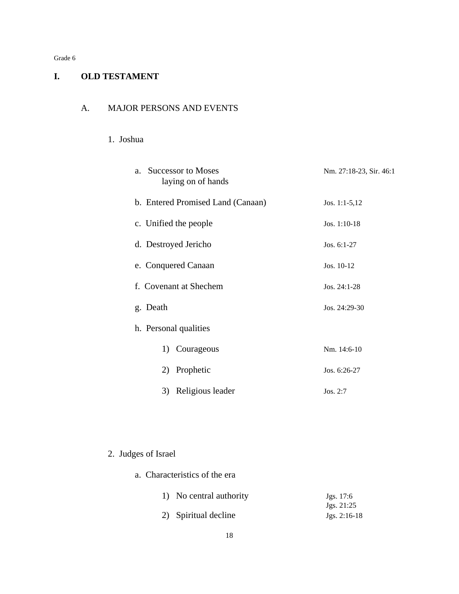# **I. OLD TESTAMENT**

#### A. MAJOR PERSONS AND EVENTS

#### 1. Joshua

| <b>Successor to Moses</b><br>$a_{-}$<br>laying on of hands | Nm. 27:18-23, Sir. 46:1 |
|------------------------------------------------------------|-------------------------|
| b. Entered Promised Land (Canaan)                          | Jos. 1:1-5,12           |
| c. Unified the people                                      | Jos. $1:10-18$          |
| d. Destroyed Jericho                                       | Jos. $6:1-27$           |
| e. Conquered Canaan                                        | Jos. 10-12              |
| f. Covenant at Shechem                                     | Jos. $24:1-28$          |
| g. Death                                                   | Jos. 24:29-30           |
| h. Personal qualities                                      |                         |
| Courageous<br>1)                                           | Nm. 14:6-10             |
| Prophetic<br>2)                                            | Jos. 6:26-27            |
| Religious leader<br>3)                                     | Jos. $2:7$              |

# 2. Judges of Israel

a. Characteristics of the era

# 1) No central authority Jgs. 17:6<br>Jgs. 21:25 2) Spiritual decline Jgs. 2:16-18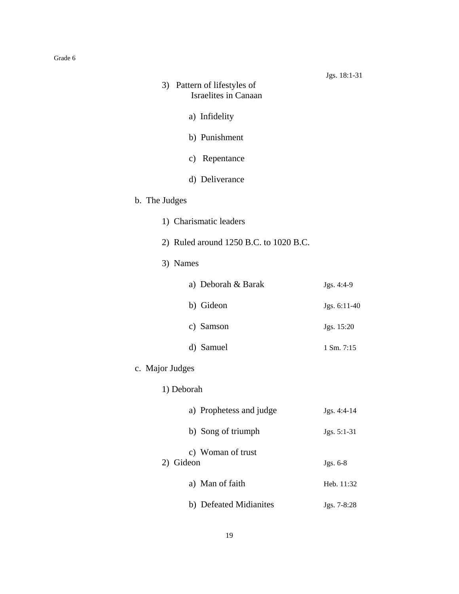| 3) Pattern of lifestyles of<br>Israelites in Canaan | Jgs. 18:1-31 |
|-----------------------------------------------------|--------------|
| a) Infidelity                                       |              |
| b) Punishment                                       |              |
| c) Repentance                                       |              |
| d) Deliverance                                      |              |
| b. The Judges                                       |              |
| 1) Charismatic leaders                              |              |
| 2) Ruled around 1250 B.C. to 1020 B.C.              |              |
| 3) Names                                            |              |
| a) Deborah & Barak                                  | Jgs. 4:4-9   |
| b) Gideon                                           | Jgs. 6:11-40 |
| c) Samson                                           | Jgs. 15:20   |
| d) Samuel                                           | 1 Sm. 7:15   |
| c. Major Judges                                     |              |

1) Deborah

|           | a) Prophetess and judge | Jgs. 4:4-14   |
|-----------|-------------------------|---------------|
|           | b) Song of triumph      | $Jgs. 5:1-31$ |
| 2) Gideon | c) Woman of trust       | Jgs. 6-8      |
|           | a) Man of faith         | Heb. 11:32    |
|           | b) Defeated Midianites  | $Jgs. 7-8:28$ |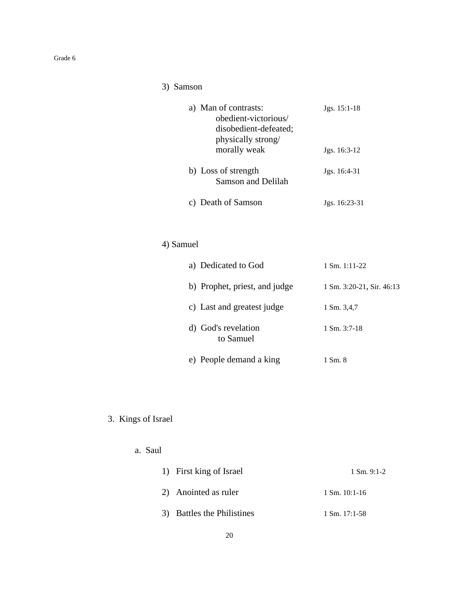# 3) Samson

| a) Man of contrasts:      | $Jgs. 15:1-18$ |
|---------------------------|----------------|
| obedient-victorious/      |                |
| disobedient-defeated;     |                |
| physically strong/        |                |
| morally weak              | $Jgs. 16:3-12$ |
|                           |                |
| b) Loss of strength       | Jgs. 16:4-31   |
| <b>Samson and Delilah</b> |                |
|                           |                |
| Death of Samson           | Jgs. 16:23-31  |

# 4) Samuel

| a) Dedicated to God              | $1$ Sm. $1:11-22$         |
|----------------------------------|---------------------------|
| b) Prophet, priest, and judge    | 1 Sm. 3:20-21, Sir. 46:13 |
| c) Last and greatest judge       | 1 Sm. 3.4.7               |
| d) God's revelation<br>to Samuel | $1 \text{ Sm. } 3:7-18$   |
| e) People demand a king          | 1 Sm. 8                   |

# 3. Kings of Israel

# a. Saul

| 1) First king of Israel    | $1 \text{ Sm. } 9:1-2$   |
|----------------------------|--------------------------|
| 2) Anointed as ruler       | $1 \text{ Sm. } 10:1-16$ |
| 3) Battles the Philistines | $1 \text{ Sm. } 17:1-58$ |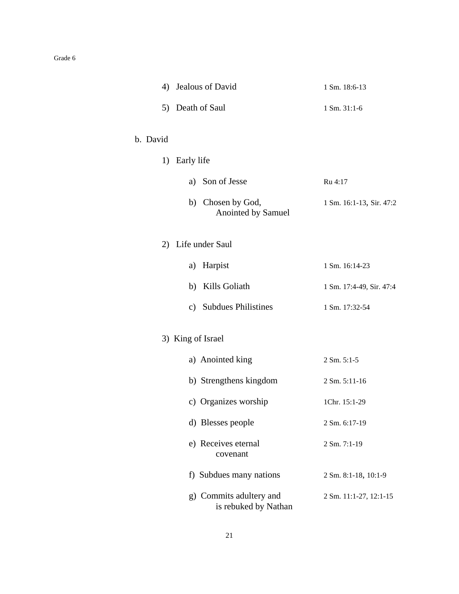|          | 4) Jealous of David                             | 1 Sm. 18:6-13            |
|----------|-------------------------------------------------|--------------------------|
|          | 5) Death of Saul                                | 1 Sm. 31:1-6             |
| b. David |                                                 |                          |
|          | 1) Early life                                   |                          |
|          | a) Son of Jesse                                 | Ru 4:17                  |
|          | b) Chosen by God,<br>Anointed by Samuel         | 1 Sm. 16:1-13, Sir. 47:2 |
|          | 2) Life under Saul                              |                          |
|          | Harpist<br>a)                                   | 1 Sm. 16:14-23           |
|          | b) Kills Goliath                                | 1 Sm. 17:4-49, Sir. 47:4 |
|          | c) Subdues Philistines                          | 1 Sm. 17:32-54           |
|          | 3) King of Israel                               |                          |
|          | a) Anointed king                                | 2 Sm. 5:1-5              |
|          | b) Strengthens kingdom                          | 2 Sm. 5:11-16            |
|          | c) Organizes worship                            | 1Chr. 15:1-29            |
|          | d) Blesses people                               | 2 Sm. 6:17-19            |
|          | e) Receives eternal<br>covenant                 | 2 Sm. 7:1-19             |
|          | f) Subdues many nations                         | 2 Sm. 8:1-18, 10:1-9     |
|          | g) Commits adultery and<br>is rebuked by Nathan | 2 Sm. 11:1-27, 12:1-15   |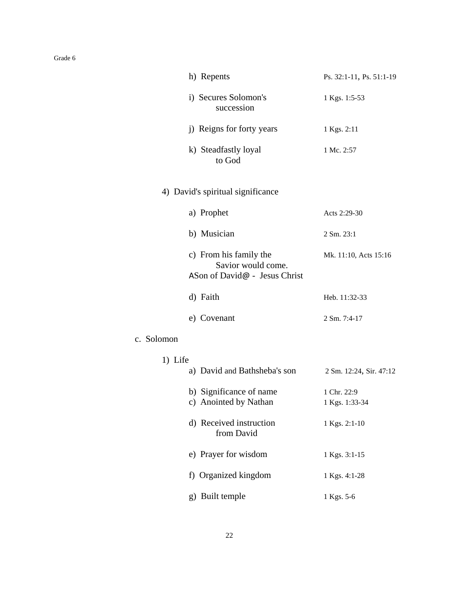| h) Repents                                                                    | Ps. 32:1-11, Ps. 51:1-19      |
|-------------------------------------------------------------------------------|-------------------------------|
| i) Secures Solomon's<br>succession                                            | 1 Kgs. 1:5-53                 |
| j) Reigns for forty years                                                     | 1 Kgs. 2:11                   |
| k) Steadfastly loyal<br>to God                                                | 1 Mc. 2:57                    |
| 4) David's spiritual significance                                             |                               |
| a) Prophet                                                                    | Acts 2:29-30                  |
| b) Musician                                                                   | 2 Sm. 23:1                    |
| c) From his family the<br>Savior would come.<br>ASon of David@ - Jesus Christ | Mk. 11:10, Acts 15:16         |
| d) Faith                                                                      | Heb. 11:32-33                 |
| e) Covenant                                                                   | 2 Sm. 7:4-17                  |
| c. Solomon                                                                    |                               |
| 1) Life<br>a) David and Bathsheba's son                                       | 2 Sm. 12:24, Sir. 47:12       |
| b) Significance of name<br>c) Anointed by Nathan                              | 1 Chr. 22:9<br>1 Kgs. 1:33-34 |
| d) Received instruction<br>from David                                         | 1 Kgs. 2:1-10                 |
| e) Prayer for wisdom                                                          | 1 Kgs. 3:1-15                 |
| f) Organized kingdom                                                          | 1 Kgs. 4:1-28                 |
| g) Built temple                                                               | 1 Kgs. 5-6                    |
|                                                                               |                               |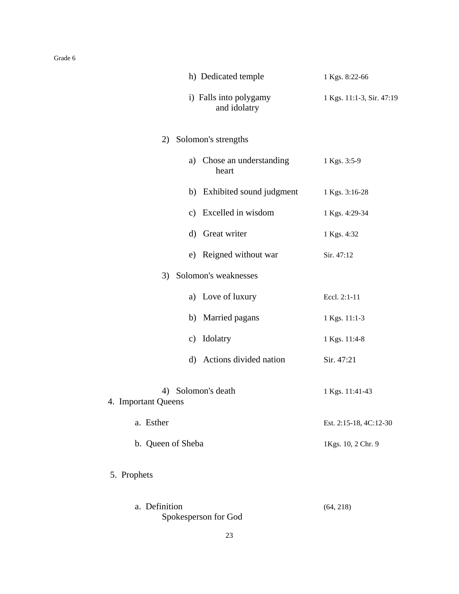|                           | h) Dedicated temple                    | 1 Kgs. 8:22-66            |
|---------------------------|----------------------------------------|---------------------------|
|                           | i) Falls into polygamy<br>and idolatry | 1 Kgs. 11:1-3, Sir. 47:19 |
| 2)                        | Solomon's strengths                    |                           |
|                           | a) Chose an understanding<br>heart     | 1 Kgs. 3:5-9              |
|                           | b) Exhibited sound judgment            | 1 Kgs. 3:16-28            |
|                           | c) Excelled in wisdom                  | 1 Kgs. 4:29-34            |
| $\rm d)$                  | Great writer                           | 1 Kgs. 4:32               |
|                           | e) Reigned without war                 | Sir. 47:12                |
| 3)                        | Solomon's weaknesses                   |                           |
|                           | a) Love of luxury                      | Eccl. 2:1-11              |
|                           | b) Married pagans                      | 1 Kgs. 11:1-3             |
| c)                        | Idolatry                               | 1 Kgs. 11:4-8             |
|                           | d) Actions divided nation              | Sir. 47:21                |
| 4)<br>4. Important Queens | Solomon's death                        | 1 Kgs. 11:41-43           |
| a. Esther                 |                                        | Est. 2:15-18, 4C:12-30    |
| b. Queen of Sheba         |                                        | 1Kgs. 10, 2 Chr. 9        |
| 5. Prophets               |                                        |                           |
| a. Definition             | Spokesperson for God                   | (64, 218)                 |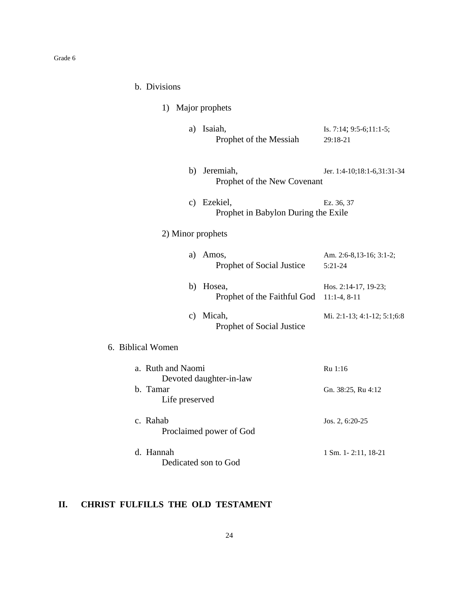| b. | <b>Divisions</b> |
|----|------------------|
|    |                  |

| 1) Major prophets          |                                                    |                                           |
|----------------------------|----------------------------------------------------|-------------------------------------------|
|                            | a) Isaiah,<br>Prophet of the Messiah               | Is. 7:14; 9:5-6;11:1-5;<br>29:18-21       |
|                            | b) Jeremiah,<br>Prophet of the New Covenant        | Jer. 1:4-10;18:1-6,31:31-34               |
|                            | c) Ezekiel,<br>Prophet in Babylon During the Exile | Ez. 36, 37                                |
| 2) Minor prophets          |                                                    |                                           |
| a)                         | Amos,<br>Prophet of Social Justice                 | Am. 2:6-8,13-16; 3:1-2;<br>$5:21-24$      |
|                            | b) Hosea,<br>Prophet of the Faithful God           | Hos. 2:14-17, 19-23;<br>$11:1-4$ , $8-11$ |
|                            | c) Micah,<br>Prophet of Social Justice             | Mi. 2:1-13; 4:1-12; 5:1;6:8               |
| 6. Biblical Women          |                                                    |                                           |
| a. Ruth and Naomi          |                                                    | Ru 1:16                                   |
| b. Tamar<br>Life preserved | Devoted daughter-in-law                            | Gn. 38:25, Ru 4:12                        |
| c. Rahab                   | Proclaimed power of God                            | Jos. 2, 6:20-25                           |
| d. Hannah                  | Dedicated son to God                               | 1 Sm. 1-2:11, 18-21                       |

# **II. CHRIST FULFILLS THE OLD TESTAMENT**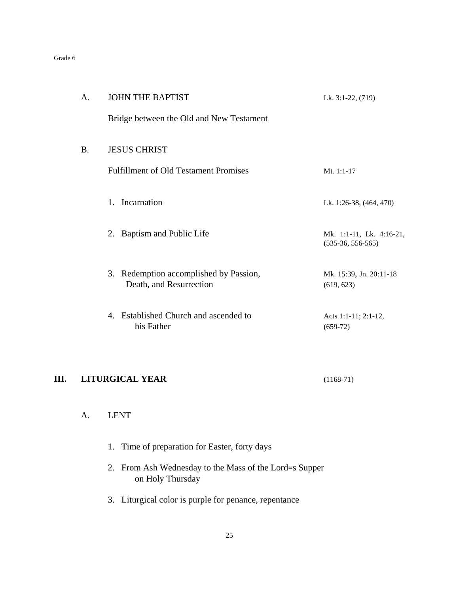| А. | <b>JOHN THE BAPTIST</b>                                           | Lk. 3:1-22, (719)                               |
|----|-------------------------------------------------------------------|-------------------------------------------------|
|    | Bridge between the Old and New Testament                          |                                                 |
| В. | <b>JESUS CHRIST</b>                                               |                                                 |
|    | <b>Fulfillment of Old Testament Promises</b>                      | Mt. $1:1-17$                                    |
|    | 1. Incarnation                                                    | Lk. 1:26-38, (464, 470)                         |
|    | 2. Baptism and Public Life                                        | Mk. 1:1-11, Lk. 4:16-21,<br>$(535-36, 556-565)$ |
|    | 3. Redemption accomplished by Passion,<br>Death, and Resurrection | Mk. 15:39, Jn. 20:11-18<br>(619, 623)           |
|    | 4. Established Church and ascended to<br>his Father               | Acts 1:1-11; 2:1-12,<br>$(659-72)$              |

# **III. LITURGICAL YEAR** (1168-71)

# A. LENT

|  |  |  | 1. Time of preparation for Easter, forty days |  |  |  |  |
|--|--|--|-----------------------------------------------|--|--|--|--|
|--|--|--|-----------------------------------------------|--|--|--|--|

- 2. From Ash Wednesday to the Mass of the Lord=s Supper on Holy Thursday
- 3. Liturgical color is purple for penance, repentance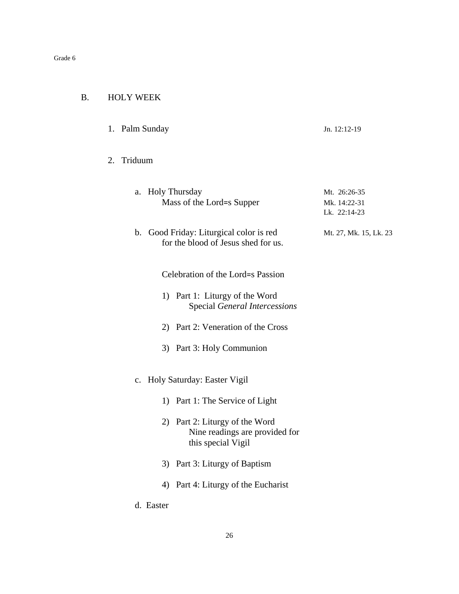| В. | <b>HOLY WEEK</b> |
|----|------------------|
|    |                  |

| 1. Palm Sunday | Jn. $12:12-19$ |
|----------------|----------------|
|                |                |

#### 2. Triduum

| a. Holy Thursday          | Mt. 26:26-35 |
|---------------------------|--------------|
| Mass of the Lord=s Supper | Mk. 14:22-31 |
|                           | Lk. 22:14-23 |
|                           |              |

#### b. Good Friday: Liturgical color is red Mt. 27, Mk. 15, Lk. 23 for the blood of Jesus shed for us.

Celebration of the Lord=s Passion

- 1) Part 1: Liturgy of the Word Special *General Intercessions*
- 2) Part 2: Veneration of the Cross
- 3) Part 3: Holy Communion
- c. Holy Saturday: Easter Vigil
	- 1) Part 1: The Service of Light
	- 2) Part 2: Liturgy of the Word Nine readings are provided for this special Vigil
	- 3) Part 3: Liturgy of Baptism
	- 4) Part 4: Liturgy of the Eucharist
- d. Easter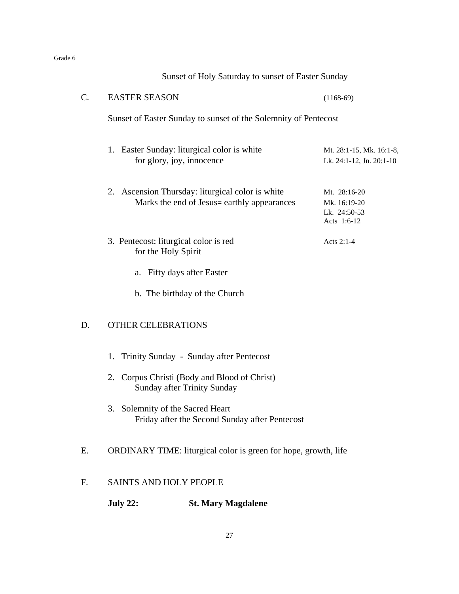|                                     |                                                                 | Sunset of Holy Saturday to sunset of Easter Sunday                                              |                                                             |  |  |  |
|-------------------------------------|-----------------------------------------------------------------|-------------------------------------------------------------------------------------------------|-------------------------------------------------------------|--|--|--|
| C.                                  | <b>EASTER SEASON</b>                                            |                                                                                                 | $(1168-69)$                                                 |  |  |  |
|                                     | Sunset of Easter Sunday to sunset of the Solemnity of Pentecost |                                                                                                 |                                                             |  |  |  |
|                                     |                                                                 | 1. Easter Sunday: liturgical color is white<br>for glory, joy, innocence                        | Mt. 28:1-15, Mk. 16:1-8,<br>Lk. 24:1-12, Jn. 20:1-10        |  |  |  |
|                                     |                                                                 | 2. Ascension Thursday: liturgical color is white<br>Marks the end of Jesus= earthly appearances | Mt. 28:16-20<br>Mk. 16:19-20<br>Lk. 24:50-53<br>Acts 1:6-12 |  |  |  |
|                                     | for the Holy Spirit                                             | 3. Pentecost: liturgical color is red                                                           | Acts 2:1-4                                                  |  |  |  |
|                                     |                                                                 | a. Fifty days after Easter                                                                      |                                                             |  |  |  |
|                                     |                                                                 | b. The birthday of the Church                                                                   |                                                             |  |  |  |
| D.                                  | <b>OTHER CELEBRATIONS</b>                                       |                                                                                                 |                                                             |  |  |  |
|                                     | 1.                                                              | Trinity Sunday - Sunday after Pentecost                                                         |                                                             |  |  |  |
|                                     |                                                                 | 2. Corpus Christi (Body and Blood of Christ)<br>Sunday after Trinity Sunday                     |                                                             |  |  |  |
|                                     | 3.                                                              | Solemnity of the Sacred Heart<br>Friday after the Second Sunday after Pentecost                 |                                                             |  |  |  |
| E.                                  |                                                                 | ORDINARY TIME: liturgical color is green for hope, growth, life                                 |                                                             |  |  |  |
| F.<br><b>SAINTS AND HOLY PEOPLE</b> |                                                                 |                                                                                                 |                                                             |  |  |  |
|                                     | <b>July 22:</b>                                                 | <b>St. Mary Magdalene</b>                                                                       |                                                             |  |  |  |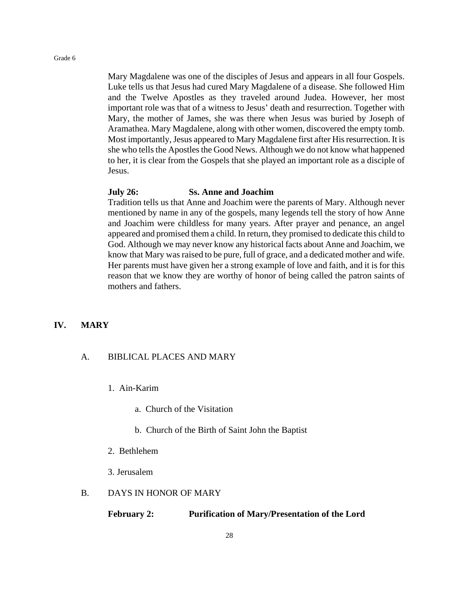Mary Magdalene was one of the disciples of Jesus and appears in all four Gospels. Luke tells us that Jesus had cured Mary Magdalene of a disease. She followed Him and the Twelve Apostles as they traveled around Judea. However, her most important role was that of a witness to Jesus' death and resurrection. Together with Mary, the mother of James, she was there when Jesus was buried by Joseph of Aramathea. Mary Magdalene, along with other women, discovered the empty tomb. Most importantly, Jesus appeared to Mary Magdalene first after His resurrection. It is she who tells the Apostles the Good News. Although we do not know what happened to her, it is clear from the Gospels that she played an important role as a disciple of Jesus.

#### **July 26: Ss. Anne and Joachim**

Tradition tells us that Anne and Joachim were the parents of Mary. Although never mentioned by name in any of the gospels, many legends tell the story of how Anne and Joachim were childless for many years. After prayer and penance, an angel appeared and promised them a child. In return, they promised to dedicate this child to God. Although we may never know any historical facts about Anne and Joachim, we know that Mary was raised to be pure, full of grace, and a dedicated mother and wife. Her parents must have given her a strong example of love and faith, and it is for this reason that we know they are worthy of honor of being called the patron saints of mothers and fathers.

#### **IV. MARY**

#### A. BIBLICAL PLACES AND MARY

- 1. Ain-Karim
	- a. Church of the Visitation
	- b. Church of the Birth of Saint John the Baptist
- 2. Bethlehem
- 3. Jerusalem

#### B. DAYS IN HONOR OF MARY

#### **February 2: Purification of Mary/Presentation of the Lord**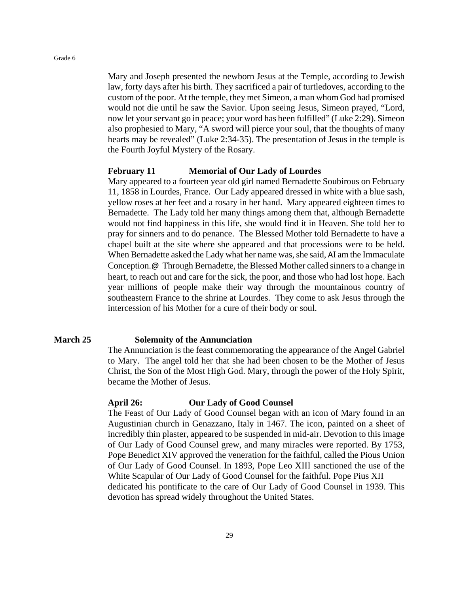Mary and Joseph presented the newborn Jesus at the Temple, according to Jewish law, forty days after his birth. They sacrificed a pair of turtledoves, according to the custom of the poor. At the temple, they met Simeon, a man whom God had promised would not die until he saw the Savior. Upon seeing Jesus, Simeon prayed, "Lord, now let your servant go in peace; your word has been fulfilled" (Luke 2:29). Simeon also prophesied to Mary, "A sword will pierce your soul, that the thoughts of many hearts may be revealed" (Luke 2:34-35). The presentation of Jesus in the temple is the Fourth Joyful Mystery of the Rosary.

#### **February 11 Memorial of Our Lady of Lourdes**

Mary appeared to a fourteen year old girl named Bernadette Soubirous on February 11, 1858 in Lourdes, France. Our Lady appeared dressed in white with a blue sash, yellow roses at her feet and a rosary in her hand. Mary appeared eighteen times to Bernadette. The Lady told her many things among them that, although Bernadette would not find happiness in this life, she would find it in Heaven. She told her to pray for sinners and to do penance. The Blessed Mother told Bernadette to have a chapel built at the site where she appeared and that processions were to be held. When Bernadette asked the Lady what her name was, she said, AI am the Immaculate Conception.@ Through Bernadette, the Blessed Mother called sinners to a change in heart, to reach out and care for the sick, the poor, and those who had lost hope. Each year millions of people make their way through the mountainous country of southeastern France to the shrine at Lourdes. They come to ask Jesus through the intercession of his Mother for a cure of their body or soul.

#### **March 25 Solemnity of the Annunciation**

The Annunciation is the feast commemorating the appearance of the Angel Gabriel to Mary. The angel told her that she had been chosen to be the Mother of Jesus Christ, the Son of the Most High God. Mary, through the power of the Holy Spirit, became the Mother of Jesus.

#### **April 26: Our Lady of Good Counsel**

The Feast of Our Lady of Good Counsel began with an icon of Mary found in an Augustinian church in Genazzano, Italy in 1467. The icon, painted on a sheet of incredibly thin plaster, appeared to be suspended in mid-air. Devotion to this image of Our Lady of Good Counsel grew, and many miracles were reported. By 1753, Pope Benedict XIV approved the veneration for the faithful, called the Pious Union of Our Lady of Good Counsel. In 1893, Pope Leo XIII sanctioned the use of the White Scapular of Our Lady of Good Counsel for the faithful. Pope Pius XII dedicated his pontificate to the care of Our Lady of Good Counsel in 1939. This devotion has spread widely throughout the United States.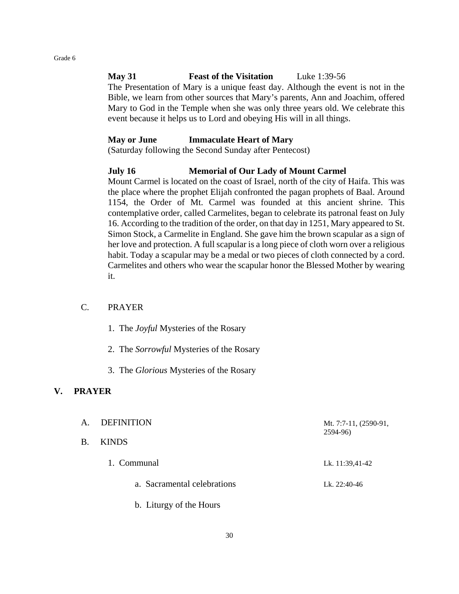#### **May 31 Feast of the Visitation** Luke 1:39-56

The Presentation of Mary is a unique feast day. Although the event is not in the Bible, we learn from other sources that Mary's parents, Ann and Joachim, offered Mary to God in the Temple when she was only three years old. We celebrate this event because it helps us to Lord and obeying His will in all things.

#### **May or June Immaculate Heart of Mary**

(Saturday following the Second Sunday after Pentecost)

#### **July 16 Memorial of Our Lady of Mount Carmel**

Mount Carmel is located on the coast of Israel, north of the city of Haifa. This was the place where the prophet Elijah confronted the pagan prophets of Baal. Around 1154, the Order of Mt. Carmel was founded at this ancient shrine. This contemplative order, called Carmelites, began to celebrate its patronal feast on July 16. According to the tradition of the order, on that day in 1251, Mary appeared to St. Simon Stock, a Carmelite in England. She gave him the brown scapular as a sign of her love and protection. A full scapular is a long piece of cloth worn over a religious habit. Today a scapular may be a medal or two pieces of cloth connected by a cord. Carmelites and others who wear the scapular honor the Blessed Mother by wearing it.

#### C. PRAYER

- 1. The *Joyful* Mysteries of the Rosary
- 2. The *Sorrowful* Mysteries of the Rosary
- 3. The *Glorious* Mysteries of the Rosary

#### **V. PRAYER**

A. DEFINITION Mt. 7:7-11, (2590-91, 2594-96) B. KINDS 1. Communal Lk. 11:39,41-42 a. Sacramental celebrations Lk. 22:40-46 b. Liturgy of the Hours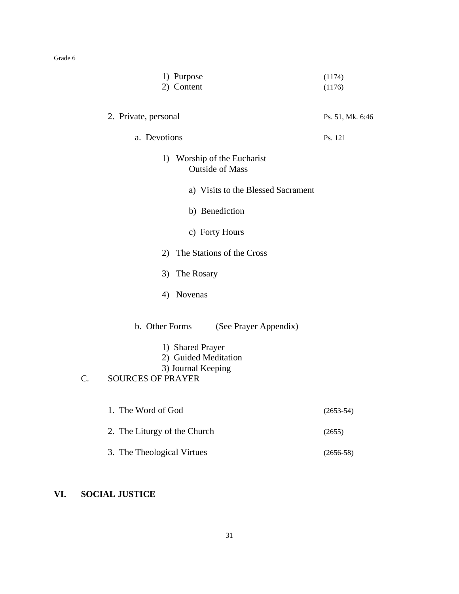|    | 1) Purpose                                                                          | (1174)           |
|----|-------------------------------------------------------------------------------------|------------------|
|    | 2) Content                                                                          | (1176)           |
|    | 2. Private, personal                                                                | Ps. 51, Mk. 6:46 |
|    | a. Devotions                                                                        | Ps. 121          |
|    | 1)<br>Worship of the Eucharist<br><b>Outside of Mass</b>                            |                  |
|    | a) Visits to the Blessed Sacrament                                                  |                  |
|    | b) Benediction                                                                      |                  |
|    | c) Forty Hours                                                                      |                  |
|    | 2) The Stations of the Cross                                                        |                  |
|    | 3)<br>The Rosary                                                                    |                  |
|    | Novenas<br>4)                                                                       |                  |
|    | b. Other Forms<br>(See Prayer Appendix)<br>1) Shared Prayer<br>2) Guided Meditation |                  |
| C. | 3) Journal Keeping<br><b>SOURCES OF PRAYER</b>                                      |                  |
|    | 1. The Word of God                                                                  | $(2653-54)$      |
|    |                                                                                     |                  |
|    | 2. The Liturgy of the Church                                                        | (2655)           |
|    | 3. The Theological Virtues                                                          | $(2656-58)$      |

# **VI. SOCIAL JUSTICE**